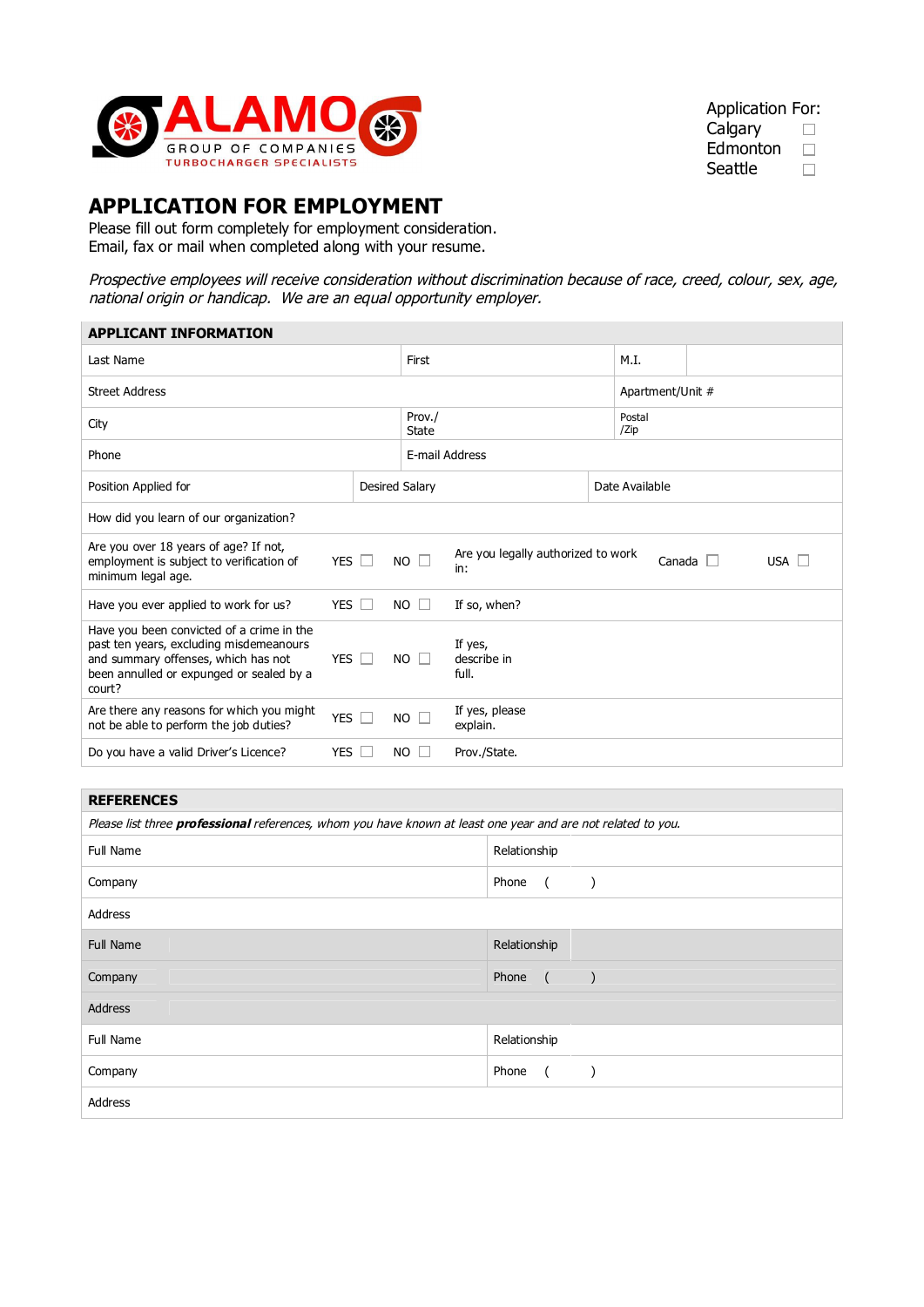

#### Application For: **Calgary**  $\Box$

Edmonton  $\Box$ Seattle  $\Box$ 

# **APPLICATION FOR EMPLOYMENT**

Please fill out form completely for employment consideration. Email, fax or mail when completed along with your resume.

Prospective employees will receive consideration without discrimination because of race, creed, colour, sex, age, national origin or handicap. We are an equal opportunity employer.

| <b>APPLICANT INFORMATION</b>                                                                                                                                                      |                            |                |                                                                     |  |                |                |  |  |  |
|-----------------------------------------------------------------------------------------------------------------------------------------------------------------------------------|----------------------------|----------------|---------------------------------------------------------------------|--|----------------|----------------|--|--|--|
| Last Name                                                                                                                                                                         |                            |                | First                                                               |  |                |                |  |  |  |
| <b>Street Address</b>                                                                                                                                                             |                            |                | Apartment/Unit #                                                    |  |                |                |  |  |  |
| City                                                                                                                                                                              |                            |                | Prov./<br>State                                                     |  |                | Postal<br>/Zip |  |  |  |
| Phone                                                                                                                                                                             |                            |                | E-mail Address                                                      |  |                |                |  |  |  |
| Position Applied for                                                                                                                                                              | Desired Salary             |                |                                                                     |  | Date Available |                |  |  |  |
| How did you learn of our organization?                                                                                                                                            |                            |                |                                                                     |  |                |                |  |  |  |
| Are you over 18 years of age? If not,<br>employment is subject to verification of<br>minimum legal age.                                                                           | YES $\Box$                 | $NO$ $\square$ | Are you legally authorized to work<br>USA $\Box$<br>Canada L<br>in: |  |                |                |  |  |  |
| Have you ever applied to work for us?                                                                                                                                             | YES                        | $NO$ $\Box$    | If so, when?                                                        |  |                |                |  |  |  |
| Have you been convicted of a crime in the<br>past ten years, excluding misdemeanours<br>and summary offenses, which has not<br>been annulled or expunged or sealed by a<br>court? | <b>YES</b>                 | NO.<br>$\Box$  | If yes,<br>describe in<br>full.                                     |  |                |                |  |  |  |
| Are there any reasons for which you might<br>not be able to perform the job duties?                                                                                               | <b>YES</b><br>$\mathbb{R}$ | NO.            | If yes, please<br>explain.                                          |  |                |                |  |  |  |
| Do you have a valid Driver's Licence?                                                                                                                                             | <b>YES</b>                 | NO.            | Prov./State.                                                        |  |                |                |  |  |  |

## **REFERENCES**

| Please list three professional references, whom you have known at least one year and are not related to you. |                                      |  |  |  |  |
|--------------------------------------------------------------------------------------------------------------|--------------------------------------|--|--|--|--|
| Full Name                                                                                                    | Relationship                         |  |  |  |  |
| Company                                                                                                      | Phone<br>$\overline{a}$              |  |  |  |  |
| Address                                                                                                      |                                      |  |  |  |  |
| <b>Full Name</b>                                                                                             | Relationship                         |  |  |  |  |
| Company                                                                                                      | Phone<br>$\sqrt{2}$<br>$\rightarrow$ |  |  |  |  |
| Address                                                                                                      |                                      |  |  |  |  |
| Full Name                                                                                                    | Relationship                         |  |  |  |  |
| Company                                                                                                      | Phone<br>$\sqrt{ }$                  |  |  |  |  |
| Address                                                                                                      |                                      |  |  |  |  |